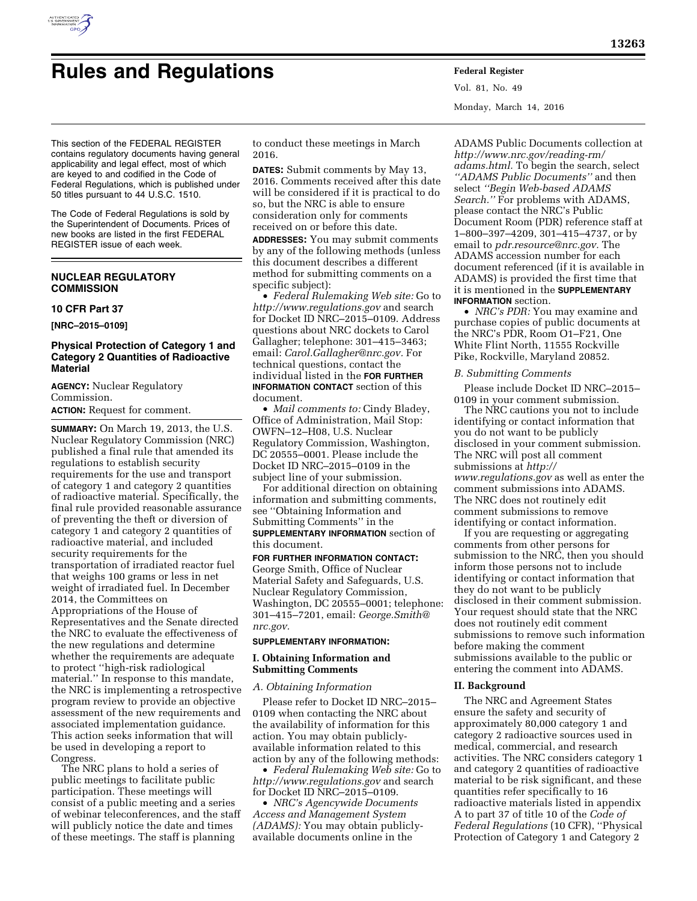

# **Rules and Regulations Federal Register**

Vol. 81, No. 49 Monday, March 14, 2016

This section of the FEDERAL REGISTER contains regulatory documents having general applicability and legal effect, most of which are keyed to and codified in the Code of Federal Regulations, which is published under 50 titles pursuant to 44 U.S.C. 1510.

The Code of Federal Regulations is sold by the Superintendent of Documents. Prices of new books are listed in the first FEDERAL REGISTER issue of each week.

# **NUCLEAR REGULATORY COMMISSION**

#### **10 CFR Part 37**

**[NRC–2015–0109]** 

# **Physical Protection of Category 1 and Category 2 Quantities of Radioactive Material**

**AGENCY:** Nuclear Regulatory Commission.

**ACTION:** Request for comment.

**SUMMARY:** On March 19, 2013, the U.S. Nuclear Regulatory Commission (NRC) published a final rule that amended its regulations to establish security requirements for the use and transport of category 1 and category 2 quantities of radioactive material. Specifically, the final rule provided reasonable assurance of preventing the theft or diversion of category 1 and category 2 quantities of radioactive material, and included security requirements for the transportation of irradiated reactor fuel that weighs 100 grams or less in net weight of irradiated fuel. In December 2014, the Committees on Appropriations of the House of Representatives and the Senate directed the NRC to evaluate the effectiveness of the new regulations and determine whether the requirements are adequate to protect ''high-risk radiological material.'' In response to this mandate, the NRC is implementing a retrospective program review to provide an objective assessment of the new requirements and associated implementation guidance. This action seeks information that will be used in developing a report to Congress.

The NRC plans to hold a series of public meetings to facilitate public participation. These meetings will consist of a public meeting and a series of webinar teleconferences, and the staff will publicly notice the date and times of these meetings. The staff is planning

to conduct these meetings in March 2016.

**DATES:** Submit comments by May 13, 2016. Comments received after this date will be considered if it is practical to do so, but the NRC is able to ensure consideration only for comments received on or before this date. **ADDRESSES:** You may submit comments by any of the following methods (unless this document describes a different method for submitting comments on a specific subject):

• *Federal Rulemaking Web site:* Go to *<http://www.regulations.gov>* and search for Docket ID NRC–2015–0109. Address questions about NRC dockets to Carol Gallagher; telephone: 301–415–3463; email: *[Carol.Gallagher@nrc.gov.](mailto:Carol.Gallagher@nrc.gov)* For technical questions, contact the individual listed in the **FOR FURTHER INFORMATION CONTACT** section of this document.

• *Mail comments to:* Cindy Bladey, Office of Administration, Mail Stop: OWFN–12–H08, U.S. Nuclear Regulatory Commission, Washington, DC 20555–0001. Please include the Docket ID NRC–2015–0109 in the subject line of your submission.

For additional direction on obtaining information and submitting comments, see ''Obtaining Information and Submitting Comments'' in the **SUPPLEMENTARY INFORMATION** section of this document.

#### **FOR FURTHER INFORMATION CONTACT:**

George Smith, Office of Nuclear Material Safety and Safeguards, U.S. Nuclear Regulatory Commission, Washington, DC 20555–0001; telephone: 301–415–7201, email: *[George.Smith@](mailto:George.Smith@nrc.gov) [nrc.gov.](mailto:George.Smith@nrc.gov)* 

#### **SUPPLEMENTARY INFORMATION:**

## **I. Obtaining Information and Submitting Comments**

# *A. Obtaining Information*

Please refer to Docket ID NRC–2015– 0109 when contacting the NRC about the availability of information for this action. You may obtain publiclyavailable information related to this action by any of the following methods:

• *Federal Rulemaking Web site:* Go to *<http://www.regulations.gov>* and search for Docket ID NRC–2015–0109.

• *NRC's Agencywide Documents Access and Management System (ADAMS):* You may obtain publiclyavailable documents online in the

ADAMS Public Documents collection at *[http://www.nrc.gov/reading-rm/](http://www.nrc.gov/reading-rm/adams.html) [adams.html.](http://www.nrc.gov/reading-rm/adams.html)* To begin the search, select *''ADAMS Public Documents''* and then select *''Begin Web-based ADAMS Search.''* For problems with ADAMS, please contact the NRC's Public Document Room (PDR) reference staff at 1–800–397–4209, 301–415–4737, or by email to *[pdr.resource@nrc.gov.](mailto:pdr.resource@nrc.gov)* The ADAMS accession number for each document referenced (if it is available in ADAMS) is provided the first time that it is mentioned in the **SUPPLEMENTARY INFORMATION** section.

• *NRC's PDR:* You may examine and purchase copies of public documents at the NRC's PDR, Room O1–F21, One White Flint North, 11555 Rockville Pike, Rockville, Maryland 20852.

## *B. Submitting Comments*

Please include Docket ID NRC–2015– 0109 in your comment submission.

The NRC cautions you not to include identifying or contact information that you do not want to be publicly disclosed in your comment submission. The NRC will post all comment submissions at *[http://](http://www.regulations.gov) [www.regulations.gov](http://www.regulations.gov)* as well as enter the comment submissions into ADAMS. The NRC does not routinely edit comment submissions to remove identifying or contact information.

If you are requesting or aggregating comments from other persons for submission to the NRC, then you should inform those persons not to include identifying or contact information that they do not want to be publicly disclosed in their comment submission. Your request should state that the NRC does not routinely edit comment submissions to remove such information before making the comment submissions available to the public or entering the comment into ADAMS.

# **II. Background**

The NRC and Agreement States ensure the safety and security of approximately 80,000 category 1 and category 2 radioactive sources used in medical, commercial, and research activities. The NRC considers category 1 and category 2 quantities of radioactive material to be risk significant, and these quantities refer specifically to 16 radioactive materials listed in appendix A to part 37 of title 10 of the *Code of Federal Regulations* (10 CFR), ''Physical Protection of Category 1 and Category 2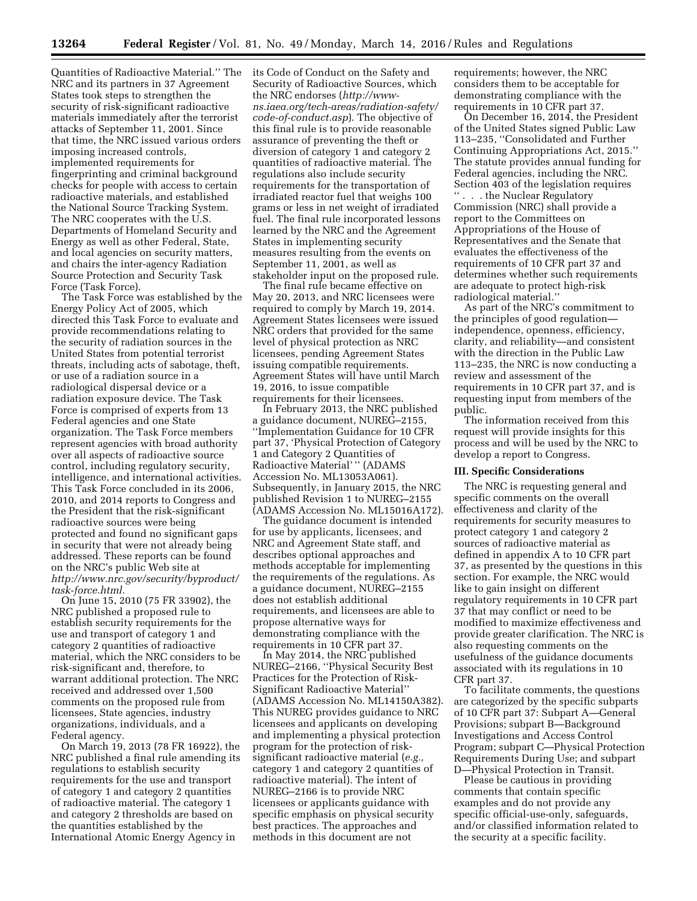Quantities of Radioactive Material.'' The NRC and its partners in 37 Agreement States took steps to strengthen the security of risk-significant radioactive materials immediately after the terrorist attacks of September 11, 2001. Since that time, the NRC issued various orders imposing increased controls, implemented requirements for fingerprinting and criminal background checks for people with access to certain radioactive materials, and established the National Source Tracking System. The NRC cooperates with the U.S. Departments of Homeland Security and Energy as well as other Federal, State, and local agencies on security matters, and chairs the inter-agency Radiation Source Protection and Security Task Force (Task Force).

The Task Force was established by the Energy Policy Act of 2005, which directed this Task Force to evaluate and provide recommendations relating to the security of radiation sources in the United States from potential terrorist threats, including acts of sabotage, theft, or use of a radiation source in a radiological dispersal device or a radiation exposure device. The Task Force is comprised of experts from 13 Federal agencies and one State organization. The Task Force members represent agencies with broad authority over all aspects of radioactive source control, including regulatory security, intelligence, and international activities. This Task Force concluded in its 2006, 2010, and 2014 reports to Congress and the President that the risk-significant radioactive sources were being protected and found no significant gaps in security that were not already being addressed. These reports can be found on the NRC's public Web site at *[http://www.nrc.gov/security/byproduct/](http://www.nrc.gov/security/byproduct/task-force.html) [task-force.html.](http://www.nrc.gov/security/byproduct/task-force.html)* 

On June 15, 2010 (75 FR 33902), the NRC published a proposed rule to establish security requirements for the use and transport of category 1 and category 2 quantities of radioactive material, which the NRC considers to be risk-significant and, therefore, to warrant additional protection. The NRC received and addressed over 1,500 comments on the proposed rule from licensees, State agencies, industry organizations, individuals, and a Federal agency.

On March 19, 2013 (78 FR 16922), the NRC published a final rule amending its regulations to establish security requirements for the use and transport of category 1 and category 2 quantities of radioactive material. The category 1 and category 2 thresholds are based on the quantities established by the International Atomic Energy Agency in

its Code of Conduct on the Safety and Security of Radioactive Sources, which the NRC endorses (*[http://www](http://www-ns.iaea.org/tech-areas/radiation-safety/code-of-conduct.asp)[ns.iaea.org/tech-areas/radiation-safety/](http://www-ns.iaea.org/tech-areas/radiation-safety/code-of-conduct.asp) [code-of-conduct.asp](http://www-ns.iaea.org/tech-areas/radiation-safety/code-of-conduct.asp)*). The objective of this final rule is to provide reasonable assurance of preventing the theft or diversion of category 1 and category 2 quantities of radioactive material. The regulations also include security requirements for the transportation of irradiated reactor fuel that weighs 100 grams or less in net weight of irradiated fuel. The final rule incorporated lessons learned by the NRC and the Agreement States in implementing security measures resulting from the events on September 11, 2001, as well as stakeholder input on the proposed rule.

The final rule became effective on May 20, 2013, and NRC licensees were required to comply by March 19, 2014. Agreement States licensees were issued NRC orders that provided for the same level of physical protection as NRC licensees, pending Agreement States issuing compatible requirements. Agreement States will have until March 19, 2016, to issue compatible requirements for their licensees.

In February 2013, the NRC published a guidance document, NUREG–2155, ''Implementation Guidance for 10 CFR part 37, 'Physical Protection of Category 1 and Category 2 Quantities of Radioactive Material' '' (ADAMS Accession No. ML13053A061). Subsequently, in January 2015, the NRC published Revision 1 to NUREG–2155 (ADAMS Accession No. ML15016A172).

The guidance document is intended for use by applicants, licensees, and NRC and Agreement State staff, and describes optional approaches and methods acceptable for implementing the requirements of the regulations. As a guidance document, NUREG–2155 does not establish additional requirements, and licensees are able to propose alternative ways for demonstrating compliance with the requirements in 10 CFR part 37.

In May 2014, the NRC published NUREG–2166, ''Physical Security Best Practices for the Protection of Risk-Significant Radioactive Material'' (ADAMS Accession No. ML14150A382). This NUREG provides guidance to NRC licensees and applicants on developing and implementing a physical protection program for the protection of risksignificant radioactive material (*e.g.,*  category 1 and category 2 quantities of radioactive material). The intent of NUREG–2166 is to provide NRC licensees or applicants guidance with specific emphasis on physical security best practices. The approaches and methods in this document are not

requirements; however, the NRC considers them to be acceptable for demonstrating compliance with the requirements in 10 CFR part 37.

On December 16, 2014, the President of the United States signed Public Law 113–235, ''Consolidated and Further Continuing Appropriations Act, 2015.'' The statute provides annual funding for Federal agencies, including the NRC. Section 403 of the legislation requires '' . . . the Nuclear Regulatory Commission (NRC) shall provide a report to the Committees on Appropriations of the House of Representatives and the Senate that evaluates the effectiveness of the requirements of 10 CFR part 37 and determines whether such requirements are adequate to protect high-risk radiological material.''

As part of the NRC's commitment to the principles of good regulation independence, openness, efficiency, clarity, and reliability—and consistent with the direction in the Public Law 113–235, the NRC is now conducting a review and assessment of the requirements in 10 CFR part 37, and is requesting input from members of the public.

The information received from this request will provide insights for this process and will be used by the NRC to develop a report to Congress.

## **III. Specific Considerations**

The NRC is requesting general and specific comments on the overall effectiveness and clarity of the requirements for security measures to protect category 1 and category 2 sources of radioactive material as defined in appendix A to 10 CFR part 37, as presented by the questions in this section. For example, the NRC would like to gain insight on different regulatory requirements in 10 CFR part 37 that may conflict or need to be modified to maximize effectiveness and provide greater clarification. The NRC is also requesting comments on the usefulness of the guidance documents associated with its regulations in 10 CFR part 37.

To facilitate comments, the questions are categorized by the specific subparts of 10 CFR part 37: Subpart A—General Provisions; subpart B—Background Investigations and Access Control Program; subpart C—Physical Protection Requirements During Use; and subpart D—Physical Protection in Transit.

Please be cautious in providing comments that contain specific examples and do not provide any specific official-use-only, safeguards, and/or classified information related to the security at a specific facility.